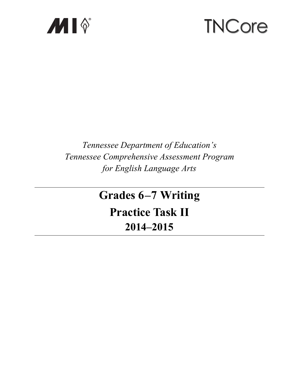

# **TNCore**

# Tennessee Department of Education's Tennessee Comprehensive Assessment Program for English Language Arts

# **Grades 6-7 Writing Practice Task II** 2014-2015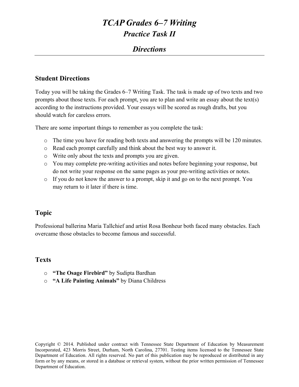### *Directions*

#### **Student Directions**

Today you will be taking the Grades 6–7 Writing Task. The task is made up of two texts and two prompts about those texts. For each prompt, you are to plan and write an essay about the text(s) according to the instructions provided. Your essays will be scored as rough drafts, but you should watch for careless errors.

There are some important things to remember as you complete the task:

- o The time you have for reading both texts and answering the prompts will be 120 minutes.
- o Read each prompt carefully and think about the best way to answer it.
- o Write only about the texts and prompts you are given.
- o You may complete pre-writing activities and notes before beginning your response, but do not write your response on the same pages as your pre-writing activities or notes.
- o If you do not know the answer to a prompt, skip it and go on to the next prompt. You may return to it later if there is time.

#### **Topic**

Professional ballerina Maria Tallchief and artist Rosa Bonheur both faced many obstacles. Each overcame those obstacles to become famous and successful.

#### **Texts**

- o **"The Osage Firebird"** by Sudipta Bardhan
- o **"A Life Painting Animals"** by Diana Childress

Copyright © 2014. Published under contract with Tennessee State Department of Education by Measurement Incorporated, 423 Morris Street, Durham, North Carolina, 27701. Testing items licensed to the Tennessee State Department of Education. All rights reserved. No part of this publication may be reproduced or distributed in any form or by any means, or stored in a database or retrieval system, without the prior written permission of Tennessee Department of Education.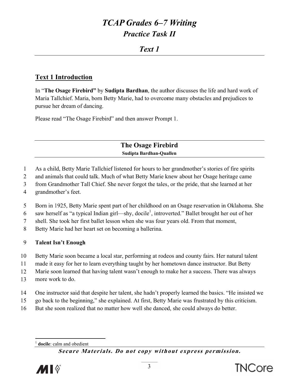# Text 1

### **Text 1 Introduction**

In "The Osage Firebird" by Sudipta Bardhan, the author discusses the life and hard work of Maria Tallchief. Maria, born Betty Marie, had to overcome many obstacles and prejudices to pursue her dream of dancing.

Please read "The Osage Firebird" and then answer Prompt 1.

**The Osage Firebird** Sudipta Bardhan-Quallen

- $\mathbf{1}$ As a child, Betty Marie Tallchief listened for hours to her grandmother's stories of fire spirits
- 2 and animals that could talk. Much of what Betty Marie knew about her Osage heritage came
- from Grandmother Tall Chief. She never forgot the tales, or the pride, that she learned at her  $\overline{3}$
- $\overline{4}$ grandmother's feet.
- $5<sup>5</sup>$ Born in 1925, Betty Marie spent part of her childhood on an Osage reservation in Oklahoma. She
- saw herself as "a typical Indian girl—shy, docile<sup>1</sup>, introverted." Ballet brought her out of her 6
- $\overline{7}$ shell. She took her first ballet lesson when she was four years old. From that moment,
- 8 Betty Marie had her heart set on becoming a ballerina.

#### 9 **Talent Isn't Enough**

- 10 Betty Marie soon became a local star, performing at rodeos and county fairs. Her natural talent
- 11 made it easy for her to learn everything taught by her hometown dance instructor. But Betty
- 12 Marie soon learned that having talent wasn't enough to make her a success. There was always
- 13 more work to do.
- 14 One instructor said that despite her talent, she hadn't properly learned the basics. "He insisted we
- 15 go back to the beginning," she explained. At first, Betty Marie was frustrated by this criticism.
- 16 But she soon realized that no matter how well she danced, she could always do better.

docile: calm and obedient

Secure Materials. Do not copy without express permission.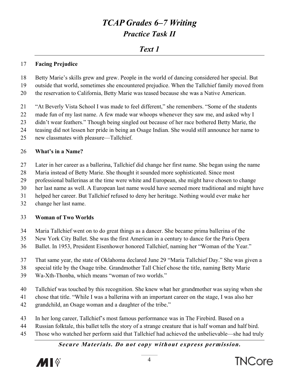# *Text 1*

#### 17 **Facing P Prejudice**

- 18 19 Betty Marie's skills grew and grew. People in the world of dancing considered her special. But outside that world, sometimes she encountered prejudice. When the Tallchief family moved from
- 20 the reservation to California, Betty Marie was teased because she was a Native American.
- 21 "At Beverly Vista School I was made to feel different," she remembers. "Some of the students
- 22 made fun of my last name. A few made war whoops whenever they saw me, and asked why I
- 23 didn't wear feathers." Though being singled out because of her race bothered Betty Marie, the
- 24 teasing did not lessen her pride in being an Osage Indian. She would still announce her name to
- 25 new clas smates with pleasure—T Tallchief.

#### 26 **What's i in a Name?**

- 27 Later in her career as a ballerina, Tallchief did change her first name. She began using the name
- 28 Maria instead of Betty Marie. She thought it sounded more sophisticated. Since most
- 29 professional ballerinas at the time were white and European, she might have chosen to change
- 30 her last name as well. A European last name would have seemed more traditional and might have
- 31 helped her career. But Tallchief refused to deny her heritage. Nothing would ever make her
- 32 change her last name.

#### 33 **Woman of Two Worlds**

- 34 Maria Tallchief went on to do great things as a dancer. She became prima ballerina of the
- 35 New York City Ballet. She was the first American in a century to dance for the Paris Opera
- 36 Ballet. In 1953, President Eisenhower honored Tallchief, naming her "Woman of the Year."
- 37 That same year, the state of Oklahoma declared June 29 "Maria Tallchief Day." She was given a
- 38 special title by the Osage tribe. Grandmother Tall Chief chose the title, naming Betty Marie
- 39 Wa-Xth-Thonba, which means "woman of two worlds."
- 40 Tallchief was touched by this recognition. She knew what her grandmother was saying when she
- 41 chose that title. "While I was a ballerina with an important career on the stage, I was also her
- 42 grandchild, an Osage woman and a daughter of the tribe."
- 43 In her long career, Tallchief's most famous performance was in The Firebird. Based on a chose that title. "While I was a ballerina with an important career on the stage, I was also her<br>grandchild, an Osage woman and a daughter of the tribe."<br>In her long career, Tallchief's most famous performance was in The F
- 44
- 45 Those who watched her perform said that Tallchief had achieved the unbelievable—she had truly



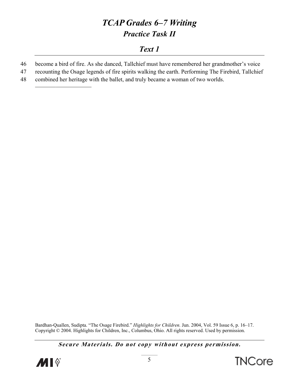# Text 1

- become a bird of fire. As she danced, Tallchief must have remembered her grandmother's voice 46
- 47 recounting the Osage legends of fire spirits walking the earth. Performing The Firebird, Tallchief
- 48 combined her heritage with the ballet, and truly became a woman of two worlds.

Bardhan-Quallen, Sudipta. "The Osage Firebird." Highlights for Children. Jun. 2004, Vol. 59 Issue 6, p. 16–17. Copyright © 2004. Highlights for Children, Inc., Columbus, Ohio. All rights reserved. Used by permission.



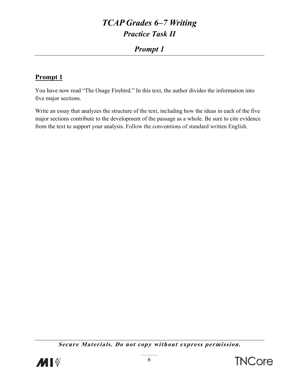# **Prompt 1**

# **Prompt 1**

You have now read "The Osage Firebird." In this text, the author divides the information into five major sections.

Write an essay that analyzes the structure of the text, including how the ideas in each of the five major sections contribute to the development of the passage as a whole. Be sure to cite evidence from the text to support your analysis. Follow the conventions of standard written English.

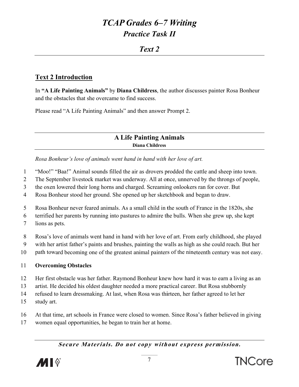### $T$ *ext* 2

### **Text 2 Introduction**

In "A Life Painting Animals" by Diana Childress, the author discusses painter Rosa Bonheur and the obstacles that she overcame to find success.

Please read "A Life Painting Animals" and then answer Prompt 2.

#### **A Life Painting Animals Diana Childress**

Rosa Bonheur's love of animals went hand in hand with her love of art.

- $\mathbf{1}$ "Moo!" "Baa!" Animal sounds filled the air as drovers prodded the cattle and sheep into town.
- $\overline{2}$ The September livestock market was underway. All at once, unnerved by the throngs of people,
- $\overline{3}$ the oxen lowered their long horns and charged. Screaming onlookers ran for cover. But
- Rosa Bonheur stood her ground. She opened up her sketchbook and began to draw.  $\overline{4}$
- $5<sup>5</sup>$ Rosa Bonheur never feared animals. As a small child in the south of France in the 1820s, she
- terrified her parents by running into pastures to admire the bulls. When she grew up, she kept 6
- $\overline{7}$ lions as pets.
- 8 Rosa's love of animals went hand in hand with her love of art. From early childhood, she played
- with her artist father's paints and brushes, painting the walls as high as she could reach. But her 9
- 10 path toward becoming one of the greatest animal painters of the nineteenth century was not easy.

#### $11$ **Overcoming Obstacles**

- 12 Her first obstacle was her father. Raymond Bonheur knew how hard it was to earn a living as an
- 13 artist. He decided his oldest daughter needed a more practical career. But Rosa stubbornly
- refused to learn dressmaking. At last, when Rosa was thirteen, her father agreed to let her  $14$
- 15 study art.
- 16 At that time, art schools in France were closed to women. Since Rosa's father believed in giving
- 17 women equal opportunities, he began to train her at home.



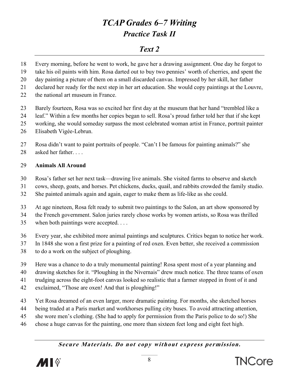# *Text 2*

18 Every morning, before he went to work, he gave her a drawing assignment. One day he forgot to

- 19 take his oil paints with him. Rosa darted out to buy two pennies' worth of cherries, and spent the
- 20 day painting a picture of them on a small discarded canvas. Impressed by her skill, her father day painting a picture of them on a small discarded canvas. Impressed by her skill, her father<br>declared her ready for the next step in her art education. She would copy paintings at the Louvre,

21

- 22 the national art museum in France.
- 23 Barely fourteen, Rosa was so excited her first day at the museum that her hand "trembled like a
- 24 leaf." Within a few months her copies began to sell. Rosa's proud father told her that if she kept
- 25 working, she would someday surpass the most celebrated woman artist in France, portrait painter
- 26 Elisabeth Vigée-Lebrun.
- 27 Rosa didn't want to paint portraits of people. "Can't I be famous for painting animals?" she
- 28 asked her father....

#### 29 **Animals All Around d**

- 30 Rosa's father set her next task—drawing live animals. She visited farms to observe and sketch
- 31 cows, sheep, goats, and horses. Pet chickens, ducks, quail, and rabbits crowded the family studio.
- 32 She painted animals again and again, eager to make them as life-like as she could.

33 At age nineteen, Rosa felt ready to submit two paintings to the Salon, an art show sponsored by

34 the French government. Salon juries rarely chose works by women artists, so Rosa was thrilled

- 35 when both paintings were accepted....
- 36 Every year, she exhibited more animal paintings and sculptures. Critics began to notice her work.
- 37 In 1848 she won a first prize for a painting of red oxen. Even better, she received a commission
- 38 to do a work on the subject of ploughing.
- 39 Here was a chance to do a truly monumental painting! Rosa spent most of a year planning and
- 40 drawing sketches for it. "Ploughing in the Nivernais" drew much notice. The three teams of oxen
- 41 trudging across the eight-foot canvas looked so realistic that a farmer stopped in front of it and
- 42 exclaimed, "Those are oxen! And that is ploughing!"
- 43 Yet Rosa dreamed of an even larger, more dramatic painting. For months, she sketched horses
- 44 being traded at a Paris market and workhorses pulling city buses. To avoid attracting attention,
- 45 she wore men's clothing. (She had to apply for permission from the Paris police to do so!) She
- 46 chose a huge canvas for the painting, one more than sixteen feet long and eight feet high.

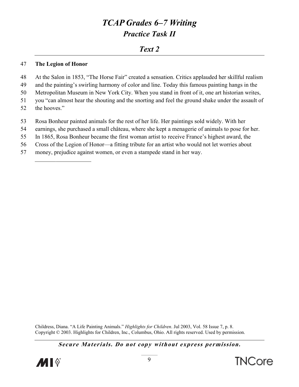# $Text\,2$

#### 47 The Legion of Honor

- 48 At the Salon in 1853, "The Horse Fair" created a sensation. Critics applauded her skillful realism
- and the painting's swirling harmony of color and line. Today this famous painting hangs in the 49
- 50 Metropolitan Museum in New York City. When you stand in front of it, one art historian writes,
- 51 you "can almost hear the shouting and the snorting and feel the ground shake under the assault of
- 52 the hooves."
- 53 Rosa Bonheur painted animals for the rest of her life. Her paintings sold widely. With her
- 54 earnings, she purchased a small château, where she kept a menagerie of animals to pose for her.
- 55 In 1865, Rosa Bonheur became the first woman artist to receive France's highest award, the
- 56 Cross of the Legion of Honor—a fitting tribute for an artist who would not let worries about
- 57 money, prejudice against women, or even a stampede stand in her way.

Childress, Diana. "A Life Painting Animals." Highlights for Children. Jul 2003, Vol. 58 Issue 7, p. 8. Copyright © 2003. Highlights for Children, Inc., Columbus, Ohio. All rights reserved. Used by permission.